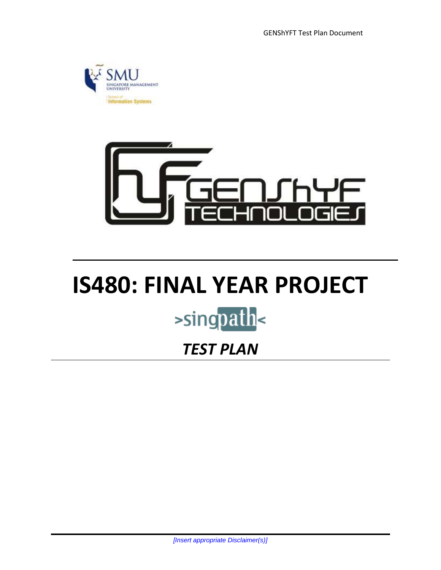GENShYFT Test Plan Document





# **IS480: FINAL YEAR PROJECT** >singpath<

# *TEST PLAN*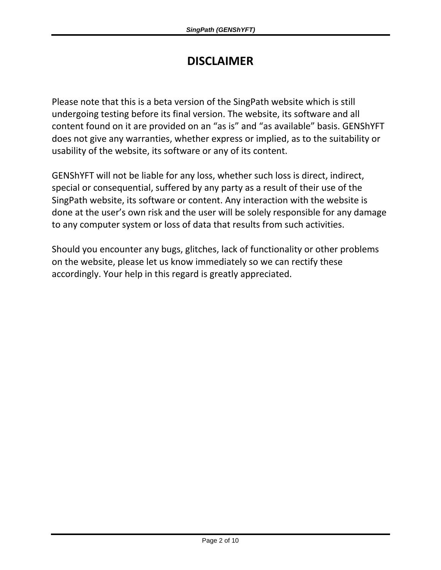# **DISCLAIMER**

Please note that this is a beta version of the SingPath website which is still undergoing testing before its final version. The website, its software and all content found on it are provided on an "as is" and "as available" basis. GENShYFT does not give any warranties, whether express or implied, as to the suitability or usability of the website, its software or any of its content.

GENShYFT will not be liable for any loss, whether such loss is direct, indirect, special or consequential, suffered by any party as a result of their use of the SingPath website, its software or content. Any interaction with the website is done at the user's own risk and the user will be solely responsible for any damage to any computer system or loss of data that results from such activities.

Should you encounter any bugs, glitches, lack of functionality or other problems on the website, please let us know immediately so we can rectify these accordingly. Your help in this regard is greatly appreciated.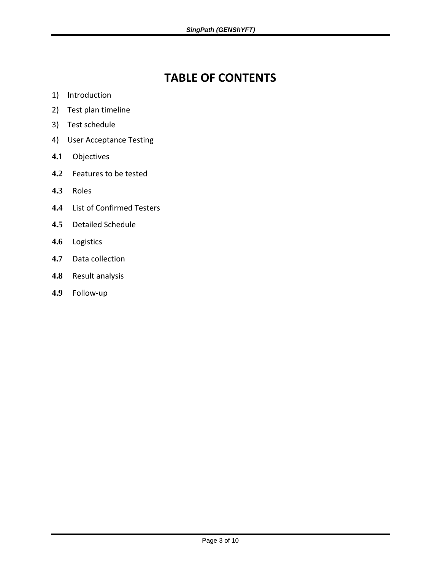# **TABLE OF CONTENTS**

- 1) Introduction
- 2) Test plan timeline
- 3) Test schedule
- 4) User Acceptance Testing
- **4.1** Objectives
- **4.2** Features to be tested
- **4.3** Roles
- **4.4** List of Confirmed Testers
- **4.5** Detailed Schedule
- **4.6** Logistics
- **4.7** Data collection
- **4.8** Result analysis
- **4.9** Follow-up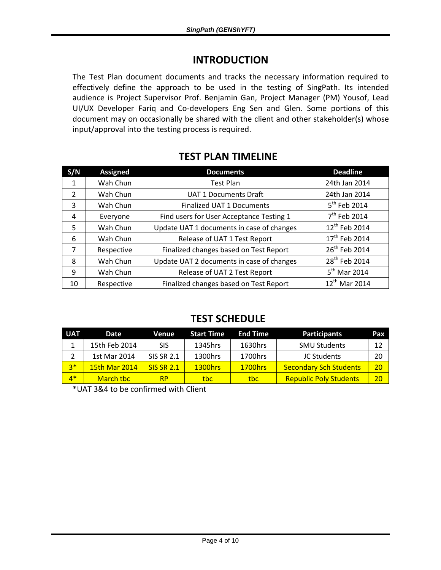#### **INTRODUCTION**

The Test Plan document documents and tracks the necessary information required to effectively define the approach to be used in the testing of SingPath. Its intended audience is Project Supervisor Prof. Benjamin Gan, Project Manager (PM) Yousof, Lead UI/UX Developer Fariq and Co-developers Eng Sen and Glen. Some portions of this document may on occasionally be shared with the client and other stakeholder(s) whose input/approval into the testing process is required.

|--|

| S/N            | <b>Assigned</b> | <b>Documents</b>                          | <b>Deadline</b>           |
|----------------|-----------------|-------------------------------------------|---------------------------|
| 1              | Wah Chun        | <b>Test Plan</b>                          | 24th Jan 2014             |
| $\mathcal{P}$  | Wah Chun        | <b>UAT 1 Documents Draft</b>              | 24th Jan 2014             |
| 3              | Wah Chun        | <b>Finalized UAT 1 Documents</b>          | 5 <sup>th</sup> Feb 2014  |
| 4              | Everyone        | Find users for User Acceptance Testing 1  | 7 <sup>th</sup> Feb 2014  |
| 5              | Wah Chun        | Update UAT 1 documents in case of changes | 12 <sup>th</sup> Feb 2014 |
| 6              | Wah Chun        | Release of UAT 1 Test Report              | 17 <sup>th</sup> Feb 2014 |
| $\overline{7}$ | Respective      | Finalized changes based on Test Report    | 26 <sup>th</sup> Feb 2014 |
| 8              | Wah Chun        | Update UAT 2 documents in case of changes | 28 <sup>th</sup> Feb 2014 |
| 9              | Wah Chun        | Release of UAT 2 Test Report              | $5th$ Mar 2014            |
| 10             | Respective      | Finalized changes based on Test Report    | 12 <sup>th</sup> Mar 2014 |

#### **TEST SCHEDULE**

| <b>UAT</b> | Date                 | Venue             | <b>Start Time</b> | <b>End Time</b> | <b>Participants</b>           | Pax |
|------------|----------------------|-------------------|-------------------|-----------------|-------------------------------|-----|
|            | 15th Feb 2014        | SIS               | 1345hrs           | 1630hrs         | <b>SMU Students</b>           | 12  |
| 2          | 1st Mar 2014         | <b>SIS SR 2.1</b> | 1300hrs           | 1700hrs         | JC Students                   | 20  |
| $2*$       | <b>15th Mar 2014</b> | <b>SIS SR 2.1</b> | <b>1300hrs</b>    | <b>1700hrs</b>  | <b>Secondary Sch Students</b> | 20  |
| $4*$       | March tbc            | RP.               | tbc:              | tbc             | <b>Republic Poly Students</b> | 20  |

\*UAT 3&4 to be confirmed with Client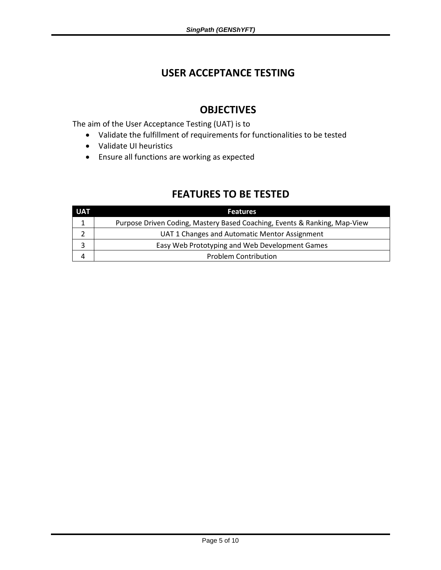#### **USER ACCEPTANCE TESTING**

## **OBJECTIVES**

The aim of the User Acceptance Testing (UAT) is to

- Validate the fulfillment of requirements for functionalities to be tested
- Validate UI heuristics
- Ensure all functions are working as expected

## **FEATURES TO BE TESTED**

| <b>UAT</b> | <b>Features</b>                                                           |
|------------|---------------------------------------------------------------------------|
|            | Purpose Driven Coding, Mastery Based Coaching, Events & Ranking, Map-View |
|            | UAT 1 Changes and Automatic Mentor Assignment                             |
|            | Easy Web Prototyping and Web Development Games                            |
|            | <b>Problem Contribution</b>                                               |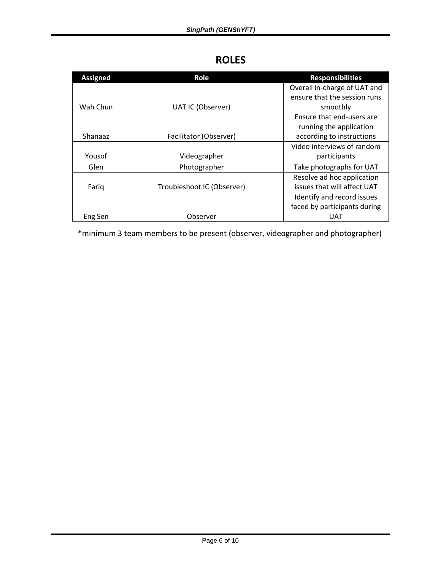#### **ROLES**

| <b>Assigned</b> | Role                       | <b>Responsibilities</b>      |
|-----------------|----------------------------|------------------------------|
|                 |                            | Overall in-charge of UAT and |
|                 |                            | ensure that the session runs |
| Wah Chun        | UAT IC (Observer)          | smoothly                     |
|                 |                            | Ensure that end-users are    |
|                 |                            | running the application      |
| Shanaaz         | Facilitator (Observer)     | according to instructions    |
|                 |                            | Video interviews of random   |
| Yousof          | Videographer               | participants                 |
| Glen            | Photographer               | Take photographs for UAT     |
|                 |                            | Resolve ad hoc application   |
| Fariq           | Troubleshoot IC (Observer) | issues that will affect UAT  |
|                 |                            | Identify and record issues   |
|                 |                            | faced by participants during |
| Eng Sen         | Observer                   | UAT                          |

**\***minimum 3 team members to be present (observer, videographer and photographer)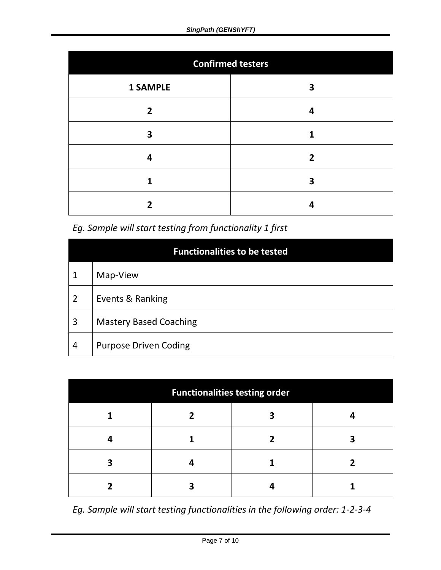| <b>Confirmed testers</b> |              |  |  |
|--------------------------|--------------|--|--|
| <b>1 SAMPLE</b>          | 3            |  |  |
| $\overline{2}$           |              |  |  |
| 3                        |              |  |  |
| 4                        | $\mathbf{2}$ |  |  |
| 1                        | 3            |  |  |
|                          |              |  |  |

*Eg. Sample will start testing from functionality 1 first*

| <b>Functionalities to be tested</b> |                               |  |  |  |
|-------------------------------------|-------------------------------|--|--|--|
| 1                                   | Map-View                      |  |  |  |
| $\overline{2}$                      | Events & Ranking              |  |  |  |
| 3                                   | <b>Mastery Based Coaching</b> |  |  |  |
| 4                                   | <b>Purpose Driven Coding</b>  |  |  |  |

| <b>Functionalities testing order</b> |  |  |  |  |
|--------------------------------------|--|--|--|--|
|                                      |  |  |  |  |
|                                      |  |  |  |  |
|                                      |  |  |  |  |
|                                      |  |  |  |  |

*Eg. Sample will start testing functionalities in the following order: 1-2-3-4*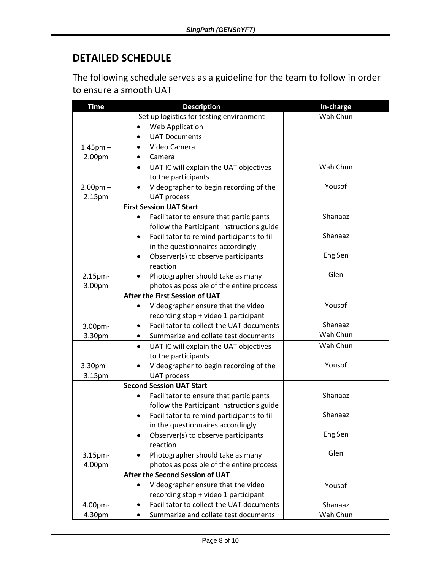## **DETAILED SCHEDULE**

The following schedule serves as a guideline for the team to follow in order to ensure a smooth UAT

| <b>Time</b>   | <b>Description</b>                                   | In-charge |
|---------------|------------------------------------------------------|-----------|
|               | Set up logistics for testing environment             | Wah Chun  |
|               | Web Application                                      |           |
|               | <b>UAT Documents</b><br>$\bullet$                    |           |
| $1.45$ pm $-$ | Video Camera                                         |           |
| 2.00pm        | Camera                                               |           |
|               | UAT IC will explain the UAT objectives<br>$\bullet$  | Wah Chun  |
|               | to the participants                                  |           |
| $2.00pm -$    | Videographer to begin recording of the               | Yousof    |
| 2.15pm        | <b>UAT process</b>                                   |           |
|               | <b>First Session UAT Start</b>                       |           |
|               | Facilitator to ensure that participants              | Shanaaz   |
|               | follow the Participant Instructions guide            |           |
|               | Facilitator to remind participants to fill<br>٠      | Shanaaz   |
|               | in the questionnaires accordingly                    |           |
|               | Observer(s) to observe participants                  | Eng Sen   |
|               | reaction                                             |           |
| 2.15pm-       | Photographer should take as many<br>$\bullet$        | Glen      |
| 3.00pm        | photos as possible of the entire process             |           |
|               | After the First Session of UAT                       |           |
|               | Videographer ensure that the video<br>$\bullet$      | Yousof    |
|               | recording stop + video 1 participant                 |           |
| 3.00pm-       | Facilitator to collect the UAT documents             | Shanaaz   |
| 3.30pm        | Summarize and collate test documents<br>$\bullet$    | Wah Chun  |
|               | UAT IC will explain the UAT objectives<br>$\bullet$  | Wah Chun  |
|               | to the participants                                  |           |
| $3.30$ pm $-$ | Videographer to begin recording of the               | Yousof    |
| 3.15pm        | <b>UAT process</b>                                   |           |
|               | <b>Second Session UAT Start</b>                      |           |
|               | Facilitator to ensure that participants<br>$\bullet$ | Shanaaz   |
|               | follow the Participant Instructions guide            |           |
|               | Facilitator to remind participants to fill           | Shanaaz   |
|               | in the questionnaires accordingly                    |           |
|               | Observer(s) to observe participants<br>$\bullet$     | Eng Sen   |
|               | reaction                                             |           |
| $3.15pm-$     | Photographer should take as many                     | Glen      |
| 4.00pm        | photos as possible of the entire process             |           |
|               | After the Second Session of UAT                      |           |
|               | Videographer ensure that the video                   | Yousof    |
|               | recording stop + video 1 participant                 |           |
| 4.00pm-       | Facilitator to collect the UAT documents             | Shanaaz   |
| 4.30pm        | Summarize and collate test documents                 | Wah Chun  |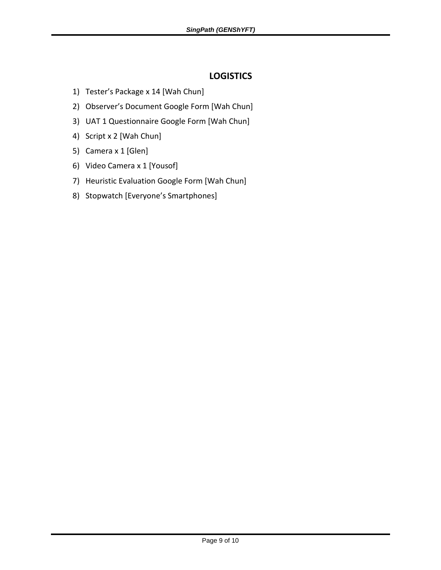#### **LOGISTICS**

- 1) Tester's Package x 14 [Wah Chun]
- 2) Observer's Document Google Form [Wah Chun]
- 3) UAT 1 Questionnaire Google Form [Wah Chun]
- 4) Script x 2 [Wah Chun]
- 5) Camera x 1 [Glen]
- 6) Video Camera x 1 [Yousof]
- 7) Heuristic Evaluation Google Form [Wah Chun]
- 8) Stopwatch [Everyone's Smartphones]